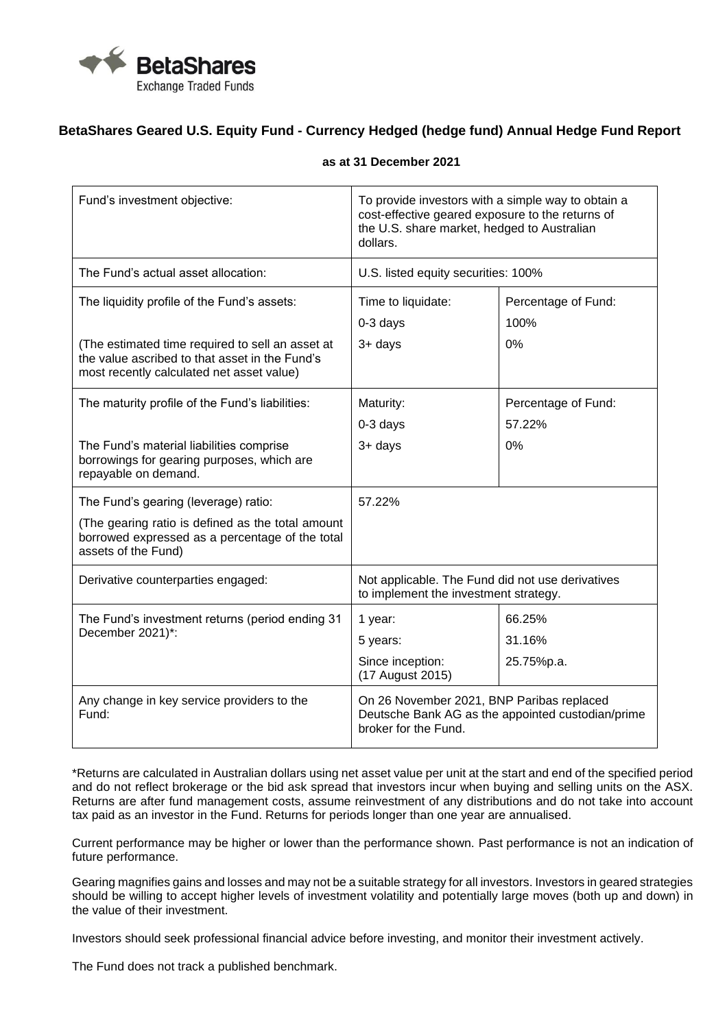

## **BetaShares Geared U.S. Equity Fund - Currency Hedged (hedge fund) Annual Hedge Fund Report**

| Fund's investment objective:                                                                                                                    | To provide investors with a simple way to obtain a<br>cost-effective geared exposure to the returns of<br>the U.S. share market, hedged to Australian<br>dollars. |                             |
|-------------------------------------------------------------------------------------------------------------------------------------------------|-------------------------------------------------------------------------------------------------------------------------------------------------------------------|-----------------------------|
| The Fund's actual asset allocation:                                                                                                             | U.S. listed equity securities: 100%                                                                                                                               |                             |
| The liquidity profile of the Fund's assets:                                                                                                     | Time to liquidate:<br>$0-3$ days                                                                                                                                  | Percentage of Fund:<br>100% |
| (The estimated time required to sell an asset at<br>the value ascribed to that asset in the Fund's<br>most recently calculated net asset value) | 3+ days                                                                                                                                                           | 0%                          |
| The maturity profile of the Fund's liabilities:                                                                                                 | Maturity:                                                                                                                                                         | Percentage of Fund:         |
|                                                                                                                                                 | 0-3 days                                                                                                                                                          | 57.22%                      |
| The Fund's material liabilities comprise<br>borrowings for gearing purposes, which are<br>repayable on demand.                                  | 3+ days                                                                                                                                                           | 0%                          |
| The Fund's gearing (leverage) ratio:                                                                                                            | 57.22%                                                                                                                                                            |                             |
| (The gearing ratio is defined as the total amount<br>borrowed expressed as a percentage of the total<br>assets of the Fund)                     |                                                                                                                                                                   |                             |
| Derivative counterparties engaged:                                                                                                              | Not applicable. The Fund did not use derivatives<br>to implement the investment strategy.                                                                         |                             |
| The Fund's investment returns (period ending 31<br>December 2021)*:                                                                             | 1 year:                                                                                                                                                           | 66.25%                      |
|                                                                                                                                                 | 5 years:                                                                                                                                                          | 31.16%                      |
|                                                                                                                                                 | Since inception:<br>(17 August 2015)                                                                                                                              | 25.75%p.a.                  |
| Any change in key service providers to the<br>Fund:                                                                                             | On 26 November 2021, BNP Paribas replaced<br>Deutsche Bank AG as the appointed custodian/prime<br>broker for the Fund.                                            |                             |

## **as at 31 December 2021**

\*Returns are calculated in Australian dollars using net asset value per unit at the start and end of the specified period and do not reflect brokerage or the bid ask spread that investors incur when buying and selling units on the ASX. Returns are after fund management costs, assume reinvestment of any distributions and do not take into account tax paid as an investor in the Fund. Returns for periods longer than one year are annualised.

Current performance may be higher or lower than the performance shown. Past performance is not an indication of future performance.

Gearing magnifies gains and losses and may not be a suitable strategy for all investors. Investors in geared strategies should be willing to accept higher levels of investment volatility and potentially large moves (both up and down) in the value of their investment.

Investors should seek professional financial advice before investing, and monitor their investment actively.

The Fund does not track a published benchmark.